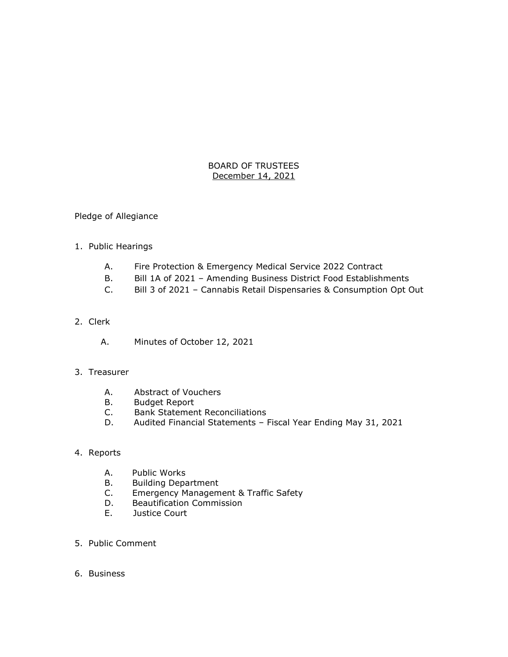## BOARD OF TRUSTEES December 14, 2021

#### Pledge of Allegiance

# 1. Public Hearings

- A. Fire Protection & Emergency Medical Service 2022 Contract
- B. Bill 1A of 2021 Amending Business District Food Establishments
- C. Bill 3 of 2021 Cannabis Retail Dispensaries & Consumption Opt Out

# 2. Clerk

A. Minutes of October 12, 2021

#### 3. Treasurer

- A. Abstract of Vouchers
- B. Budget Report
- C. Bank Statement Reconciliations
- D. Audited Financial Statements Fiscal Year Ending May 31, 2021

# 4. Reports

- A. Public Works
- B. Building Department<br>C. Emergency Managem
- Emergency Management & Traffic Safety
- D. Beautification Commission
- E. Justice Court
- 5. Public Comment
- 6. Business